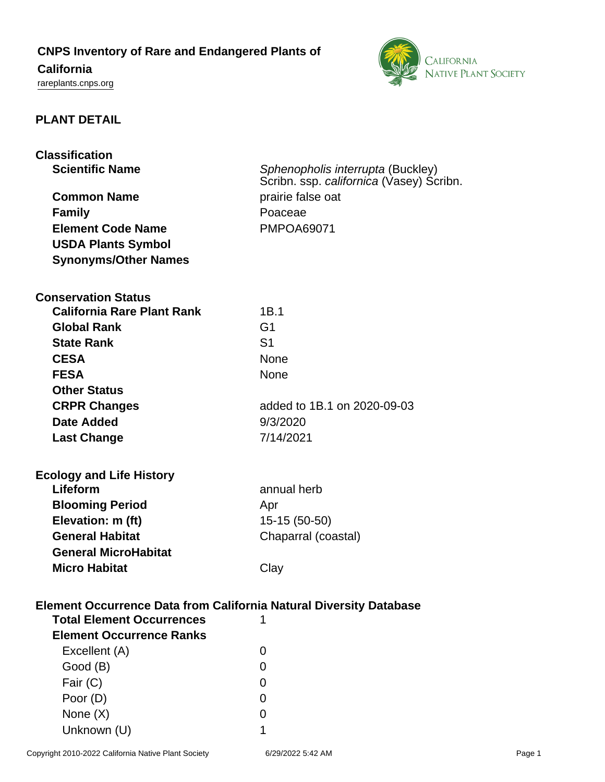## **CNPS Inventory of Rare and Endangered Plants of**

# **California**

<rareplants.cnps.org>



## **PLANT DETAIL**

| <b>Classification</b>                                                     |                                          |  |
|---------------------------------------------------------------------------|------------------------------------------|--|
| <b>Scientific Name</b>                                                    | Sphenopholis interrupta (Buckley)        |  |
|                                                                           | Scribn. ssp. californica (Vasey) Scribn. |  |
| <b>Common Name</b>                                                        | prairie false oat                        |  |
| <b>Family</b>                                                             | Poaceae                                  |  |
| <b>Element Code Name</b>                                                  | <b>PMPOA69071</b>                        |  |
| <b>USDA Plants Symbol</b>                                                 |                                          |  |
| <b>Synonyms/Other Names</b>                                               |                                          |  |
| <b>Conservation Status</b>                                                |                                          |  |
| <b>California Rare Plant Rank</b>                                         | 1B.1                                     |  |
| <b>Global Rank</b>                                                        | G <sub>1</sub>                           |  |
| <b>State Rank</b>                                                         | S <sub>1</sub>                           |  |
|                                                                           |                                          |  |
| <b>CESA</b>                                                               | None                                     |  |
| <b>FESA</b>                                                               | None                                     |  |
| <b>Other Status</b>                                                       |                                          |  |
| <b>CRPR Changes</b>                                                       | added to 1B.1 on 2020-09-03              |  |
| <b>Date Added</b>                                                         | 9/3/2020                                 |  |
| <b>Last Change</b>                                                        | 7/14/2021                                |  |
| <b>Ecology and Life History</b>                                           |                                          |  |
| Lifeform                                                                  | annual herb                              |  |
| <b>Blooming Period</b>                                                    | Apr                                      |  |
| Elevation: m (ft)                                                         | 15-15 (50-50)                            |  |
| <b>General Habitat</b>                                                    | Chaparral (coastal)                      |  |
| <b>General MicroHabitat</b>                                               |                                          |  |
| <b>Micro Habitat</b>                                                      | Clay                                     |  |
|                                                                           |                                          |  |
| <b>Element Occurrence Data from California Natural Diversity Database</b> |                                          |  |
| <b>Total Element Occurrences</b>                                          |                                          |  |
| <b>Element Occurrence Ranks</b>                                           |                                          |  |
| Excellent (A)                                                             | 0                                        |  |
| Good (B)                                                                  | 0                                        |  |
| Fair (C)                                                                  | O                                        |  |
| Poor (D)                                                                  | $\mathbf{O}$                             |  |
| None $(X)$                                                                | O                                        |  |
| Unknown (U)                                                               | 1                                        |  |